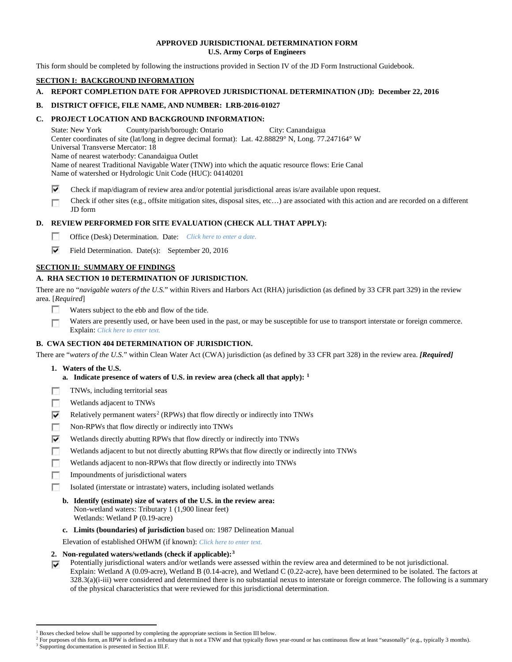## **APPROVED JURISDICTIONAL DETERMINATION FORM U.S. Army Corps of Engineers**

This form should be completed by following the instructions provided in Section IV of the JD Form Instructional Guidebook.

# **SECTION I: BACKGROUND INFORMATION**

**A. REPORT COMPLETION DATE FOR APPROVED JURISDICTIONAL DETERMINATION (JD): December 22, 2016**

## **B. DISTRICT OFFICE, FILE NAME, AND NUMBER: LRB-2016-01027**

## **C. PROJECT LOCATION AND BACKGROUND INFORMATION:**

State: New York County/parish/borough: Ontario City: Canandaigua Center coordinates of site (lat/long in degree decimal format): Lat. 42.88829° N, Long. 77.247164° W Universal Transverse Mercator: 18 Name of nearest waterbody: Canandaigua Outlet Name of nearest Traditional Navigable Water (TNW) into which the aquatic resource flows: Erie Canal Name of watershed or Hydrologic Unit Code (HUC): 04140201

- ⊽ Check if map/diagram of review area and/or potential jurisdictional areas is/are available upon request.
- Check if other sites (e.g., offsite mitigation sites, disposal sites, etc…) are associated with this action and are recorded on a different г JD form

# **D. REVIEW PERFORMED FOR SITE EVALUATION (CHECK ALL THAT APPLY):**

- $\sim$ Office (Desk) Determination. Date: *Click here to enter a date.*
- ⊽ Field Determination. Date(s): September 20, 2016

# **SECTION II: SUMMARY OF FINDINGS**

# **A. RHA SECTION 10 DETERMINATION OF JURISDICTION.**

There are no "*navigable waters of the U.S.*" within Rivers and Harbors Act (RHA) jurisdiction (as defined by 33 CFR part 329) in the review area. [*Required*]

- п Waters subject to the ebb and flow of the tide.
- Waters are presently used, or have been used in the past, or may be susceptible for use to transport interstate or foreign commerce. п Explain: *Click here to enter text.*

# **B. CWA SECTION 404 DETERMINATION OF JURISDICTION.**

There are "*waters of the U.S.*" within Clean Water Act (CWA) jurisdiction (as defined by 33 CFR part 328) in the review area. *[Required]*

- **1. Waters of the U.S.**
	- **a. Indicate presence of waters of U.S. in review area (check all that apply): [1](#page-0-0)**
- 同 TNWs, including territorial seas
- T. Wetlands adjacent to TNWs
- ⊽ Relatively permanent waters<sup>[2](#page-0-1)</sup> (RPWs) that flow directly or indirectly into TNWs
- п Non-RPWs that flow directly or indirectly into TNWs
- ⊽ Wetlands directly abutting RPWs that flow directly or indirectly into TNWs
- Wetlands adjacent to but not directly abutting RPWs that flow directly or indirectly into TNWs n
- г Wetlands adjacent to non-RPWs that flow directly or indirectly into TNWs
- n. Impoundments of jurisdictional waters
- Isolated (interstate or intrastate) waters, including isolated wetlands п
	- **b. Identify (estimate) size of waters of the U.S. in the review area:** Non-wetland waters: Tributary 1 (1,900 linear feet) Wetlands: Wetland P (0.19-acre)
	- **c. Limits (boundaries) of jurisdiction** based on: 1987 Delineation Manual

Elevation of established OHWM (if known): *Click here to enter text.*

- **2. Non-regulated waters/wetlands (check if applicable):[3](#page-0-2)**
- Potentially jurisdictional waters and/or wetlands were assessed within the review area and determined to be not jurisdictional. ⊽ Explain: Wetland A (0.09-acre), Wetland B (0.14-acre), and Wetland C (0.22-acre), have been determined to be isolated. The factors at 328.3(a)(i-iii) were considered and determined there is no substantial nexus to interstate or foreign commerce. The following is a summary of the physical characteristics that were reviewed for this jurisdictional determination.

<sup>&</sup>lt;sup>1</sup> Boxes checked below shall be supported by completing the appropriate sections in Section III below.

<span id="page-0-2"></span><span id="page-0-1"></span><span id="page-0-0"></span>For purposes of this form, an RPW is defined as a tributary that is not a TNW and that typically flows year-round or has continuous flow at least "seasonally" (e.g., typically 3 months). <sup>3</sup> Supporting documentation is presented in Section III.F.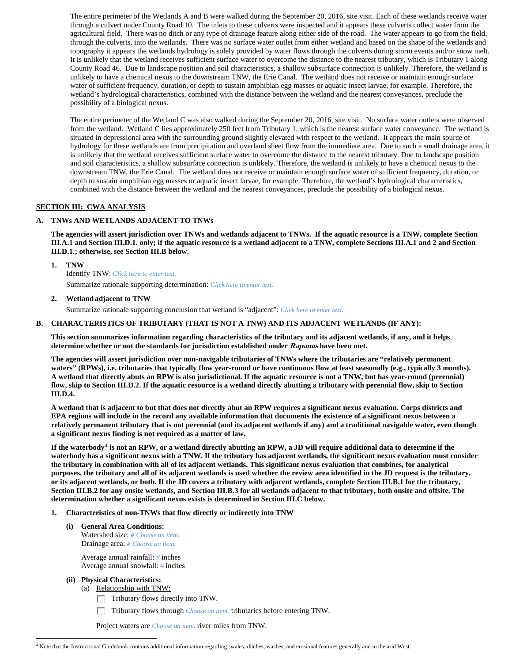The entire perimeter of the Wetlands A and B were walked during the September 20, 2016, site visit. Each of these wetlands receive water through a culvert under County Road 10. The inlets to these culverts were inspected and it appears these culverts collect water from the agricultural field. There was no ditch or any type of drainage feature along either side of the road. The water appears to go from the field, through the culverts, into the wetlands. There was no surface water outlet from either wetland and based on the shape of the wetlands and topography it appears the wetlands hydrology is solely provided by water flows through the culverts during storm events and/or snow melt. It is unlikely that the wetland receives sufficient surface water to overcome the distance to the nearest tributary, which is Tributary 1 along County Road 46. Due to landscape position and soil characteristics, a shallow subsurface connection is unlikely. Therefore, the wetland is unlikely to have a chemical nexus to the downstream TNW, the Erie Canal. The wetland does not receive or maintain enough surface water of sufficient frequency, duration, or depth to sustain amphibian egg masses or aquatic insect larvae, for example. Therefore, the wetland's hydrological characteristics, combined with the distance between the wetland and the nearest conveyances, preclude the possibility of a biological nexus.

The entire perimeter of the Wetland C was also walked during the September 20, 2016, site visit. No surface water outlets were observed from the wetland. Wetland C lies approximately 250 feet from Tributary 1, which is the nearest surface water conveyance. The wetland is situated in depressional area with the surrounding ground slightly elevated with respect to the wetland. It appears the main source of hydrology for these wetlands are from precipitation and overland sheet flow from the immediate area. Due to such a small drainage area, it is unlikely that the wetland receives sufficient surface water to overcome the distance to the nearest tributary. Due to landscape position and soil characteristics, a shallow subsurface connection is unlikely. Therefore, the wetland is unlikely to have a chemical nexus to the downstream TNW, the Erie Canal. The wetland does not receive or maintain enough surface water of sufficient frequency, duration, or depth to sustain amphibian egg masses or aquatic insect larvae, for example. Therefore, the wetland's hydrological characteristics, combined with the distance between the wetland and the nearest conveyances, preclude the possibility of a biological nexus.

# **SECTION III: CWA ANALYSIS**

#### **A. TNWs AND WETLANDS ADJACENT TO TNWs**

**The agencies will assert jurisdiction over TNWs and wetlands adjacent to TNWs. If the aquatic resource is a TNW, complete Section III.A.1 and Section III.D.1. only; if the aquatic resource is a wetland adjacent to a TNW, complete Sections III.A.1 and 2 and Section III.D.1.; otherwise, see Section III.B below**.

**1. TNW** 

Identify TNW: *Click here to enter text.* Summarize rationale supporting determination: *Click here to enter text.*

#### **2. Wetland adjacent to TNW**

Summarize rationale supporting conclusion that wetland is "adjacent": *Click here to enter text.*

#### **B. CHARACTERISTICS OF TRIBUTARY (THAT IS NOT A TNW) AND ITS ADJACENT WETLANDS (IF ANY):**

**This section summarizes information regarding characteristics of the tributary and its adjacent wetlands, if any, and it helps determine whether or not the standards for jurisdiction established under Rapanos have been met.** 

**The agencies will assert jurisdiction over non-navigable tributaries of TNWs where the tributaries are "relatively permanent waters" (RPWs), i.e. tributaries that typically flow year-round or have continuous flow at least seasonally (e.g., typically 3 months). A wetland that directly abuts an RPW is also jurisdictional. If the aquatic resource is not a TNW, but has year-round (perennial) flow, skip to Section III.D.2. If the aquatic resource is a wetland directly abutting a tributary with perennial flow, skip to Section III.D.4.**

**A wetland that is adjacent to but that does not directly abut an RPW requires a significant nexus evaluation. Corps districts and EPA regions will include in the record any available information that documents the existence of a significant nexus between a relatively permanent tributary that is not perennial (and its adjacent wetlands if any) and a traditional navigable water, even though a significant nexus finding is not required as a matter of law.**

**If the waterbody[4](#page-1-0) is not an RPW, or a wetland directly abutting an RPW, a JD will require additional data to determine if the waterbody has a significant nexus with a TNW. If the tributary has adjacent wetlands, the significant nexus evaluation must consider the tributary in combination with all of its adjacent wetlands. This significant nexus evaluation that combines, for analytical purposes, the tributary and all of its adjacent wetlands is used whether the review area identified in the JD request is the tributary, or its adjacent wetlands, or both. If the JD covers a tributary with adjacent wetlands, complete Section III.B.1 for the tributary, Section III.B.2 for any onsite wetlands, and Section III.B.3 for all wetlands adjacent to that tributary, both onsite and offsite. The determination whether a significant nexus exists is determined in Section III.C below.**

#### **1. Characteristics of non-TNWs that flow directly or indirectly into TNW**

**(i) General Area Conditions:** Watershed size: *# Choose an item.* Drainage area: *# Choose an item.*

> Average annual rainfall: *#* inches Average annual snowfall: *#* inches

#### **(ii) Physical Characteristics:**

(a) Relationship with TNW:

- Tributary flows directly into TNW.
- n Tributary flows through *Choose an item.* tributaries before entering TNW.

Project waters are *Choose an item.* river miles from TNW.

<span id="page-1-0"></span> <sup>4</sup> Note that the Instructional Guidebook contains additional information regarding swales, ditches, washes, and erosional features generally and in the arid West.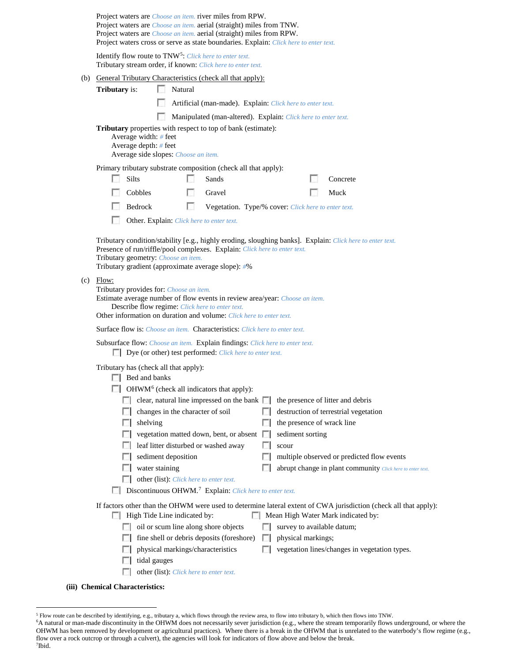|     |                                                                                                                                                                                                                            |          |                                                           |                                                           | Project waters are <i>Choose an item</i> . river miles from RPW.<br>Project waters are <i>Choose an item.</i> aerial (straight) miles from TNW.<br>Project waters are <i>Choose an item.</i> aerial (straight) miles from RPW.<br>Project waters cross or serve as state boundaries. Explain: Click here to enter text. |          |                            |  |                                                            |  |
|-----|----------------------------------------------------------------------------------------------------------------------------------------------------------------------------------------------------------------------------|----------|-----------------------------------------------------------|-----------------------------------------------------------|-------------------------------------------------------------------------------------------------------------------------------------------------------------------------------------------------------------------------------------------------------------------------------------------------------------------------|----------|----------------------------|--|------------------------------------------------------------|--|
|     | Identify flow route to TNW <sup>5</sup> : Click here to enter text.<br>Tributary stream order, if known: Click here to enter text.                                                                                         |          |                                                           |                                                           |                                                                                                                                                                                                                                                                                                                         |          |                            |  |                                                            |  |
|     | (b) General Tributary Characteristics (check all that apply):                                                                                                                                                              |          |                                                           |                                                           |                                                                                                                                                                                                                                                                                                                         |          |                            |  |                                                            |  |
|     | <b>Tributary</b> is:                                                                                                                                                                                                       |          | Natural<br>L.                                             |                                                           |                                                                                                                                                                                                                                                                                                                         |          |                            |  |                                                            |  |
|     |                                                                                                                                                                                                                            |          | Artificial (man-made). Explain: Click here to enter text. |                                                           |                                                                                                                                                                                                                                                                                                                         |          |                            |  |                                                            |  |
|     |                                                                                                                                                                                                                            |          |                                                           |                                                           | Manipulated (man-altered). Explain: Click here to enter text.                                                                                                                                                                                                                                                           |          |                            |  |                                                            |  |
|     | Tributary properties with respect to top of bank (estimate):<br>Average width: $#$ feet<br>Average depth: # feet<br>Average side slopes: Choose an item.                                                                   |          |                                                           |                                                           |                                                                                                                                                                                                                                                                                                                         |          |                            |  |                                                            |  |
|     | Primary tributary substrate composition (check all that apply):                                                                                                                                                            |          |                                                           |                                                           |                                                                                                                                                                                                                                                                                                                         |          |                            |  |                                                            |  |
|     |                                                                                                                                                                                                                            | Silts    |                                                           |                                                           | Sands                                                                                                                                                                                                                                                                                                                   |          |                            |  | Concrete                                                   |  |
|     |                                                                                                                                                                                                                            | Cobbles  |                                                           | $\mathcal{L}$                                             | Gravel                                                                                                                                                                                                                                                                                                                  |          |                            |  | Muck                                                       |  |
|     |                                                                                                                                                                                                                            | Bedrock  |                                                           | L.<br>Vegetation. Type/% cover: Click here to enter text. |                                                                                                                                                                                                                                                                                                                         |          |                            |  |                                                            |  |
|     |                                                                                                                                                                                                                            |          |                                                           |                                                           | Other. Explain: Click here to enter text.                                                                                                                                                                                                                                                                               |          |                            |  |                                                            |  |
| (c) | Presence of run/riffle/pool complexes. Explain: Click here to enter text.<br>Tributary geometry: Choose an item.<br>Tributary gradient (approximate average slope): #%<br>Flow:<br>Tributary provides for: Choose an item. |          |                                                           |                                                           |                                                                                                                                                                                                                                                                                                                         |          |                            |  |                                                            |  |
|     | Estimate average number of flow events in review area/year: Choose an item.<br>Describe flow regime: Click here to enter text.<br>Other information on duration and volume: Click here to enter text.                      |          |                                                           |                                                           |                                                                                                                                                                                                                                                                                                                         |          |                            |  |                                                            |  |
|     | <b>Surface flow is:</b> <i>Choose an item.</i> <b>Characteristics:</b> <i>Click here to enter text.</i>                                                                                                                    |          |                                                           |                                                           |                                                                                                                                                                                                                                                                                                                         |          |                            |  |                                                            |  |
|     | Subsurface flow: Choose an item. Explain findings: Click here to enter text.<br><b>Dye</b> (or other) test performed: <i>Click here to enter text</i> .                                                                    |          |                                                           |                                                           |                                                                                                                                                                                                                                                                                                                         |          |                            |  |                                                            |  |
|     | Tributary has (check all that apply):<br>$\Box$ Bed and banks                                                                                                                                                              |          |                                                           |                                                           |                                                                                                                                                                                                                                                                                                                         |          |                            |  |                                                            |  |
|     |                                                                                                                                                                                                                            |          |                                                           |                                                           | OHWM <sup>6</sup> (check all indicators that apply):                                                                                                                                                                                                                                                                    |          |                            |  |                                                            |  |
|     |                                                                                                                                                                                                                            |          |                                                           |                                                           | clear, natural line impressed on the bank $\Box$                                                                                                                                                                                                                                                                        |          |                            |  | the presence of litter and debris                          |  |
|     |                                                                                                                                                                                                                            |          | changes in the character of soil                          |                                                           |                                                                                                                                                                                                                                                                                                                         |          |                            |  | destruction of terrestrial vegetation                      |  |
|     |                                                                                                                                                                                                                            | shelving |                                                           |                                                           |                                                                                                                                                                                                                                                                                                                         |          | the presence of wrack line |  |                                                            |  |
|     |                                                                                                                                                                                                                            |          |                                                           |                                                           | vegetation matted down, bent, or absent                                                                                                                                                                                                                                                                                 | <b>I</b> | sediment sorting           |  |                                                            |  |
|     |                                                                                                                                                                                                                            |          |                                                           |                                                           | leaf litter disturbed or washed away                                                                                                                                                                                                                                                                                    |          | scour                      |  |                                                            |  |
|     |                                                                                                                                                                                                                            |          | sediment deposition                                       |                                                           |                                                                                                                                                                                                                                                                                                                         |          |                            |  | multiple observed or predicted flow events                 |  |
|     |                                                                                                                                                                                                                            |          | water staining                                            |                                                           |                                                                                                                                                                                                                                                                                                                         |          |                            |  | abrupt change in plant community Click here to enter text. |  |
|     | other (list): Click here to enter text.<br>Discontinuous OHWM. <sup>7</sup> Explain: Click here to enter text.                                                                                                             |          |                                                           |                                                           |                                                                                                                                                                                                                                                                                                                         |          |                            |  |                                                            |  |
|     | If factors other than the OHWM were used to determine lateral extent of CWA jurisdiction (check all that apply):<br>High Tide Line indicated by:<br>Mean High Water Mark indicated by:                                     |          |                                                           |                                                           |                                                                                                                                                                                                                                                                                                                         |          |                            |  |                                                            |  |
|     |                                                                                                                                                                                                                            |          |                                                           |                                                           | oil or scum line along shore objects                                                                                                                                                                                                                                                                                    |          | survey to available datum; |  |                                                            |  |
|     |                                                                                                                                                                                                                            |          |                                                           |                                                           | fine shell or debris deposits (foreshore)                                                                                                                                                                                                                                                                               |          | physical markings;         |  |                                                            |  |
|     |                                                                                                                                                                                                                            |          |                                                           |                                                           | physical markings/characteristics                                                                                                                                                                                                                                                                                       |          |                            |  | vegetation lines/changes in vegetation types.              |  |
|     |                                                                                                                                                                                                                            |          | tidal gauges                                              |                                                           |                                                                                                                                                                                                                                                                                                                         |          |                            |  |                                                            |  |
|     |                                                                                                                                                                                                                            |          |                                                           |                                                           | other (list): Click here to enter text.                                                                                                                                                                                                                                                                                 |          |                            |  |                                                            |  |
|     | (iii) Chemical Characteristics:                                                                                                                                                                                            |          |                                                           |                                                           |                                                                                                                                                                                                                                                                                                                         |          |                            |  |                                                            |  |

<span id="page-2-0"></span> <sup>5</sup> Flow route can be described by identifying, e.g., tributary a, which flows through the review area, to flow into tributary b, which then flows into TNW.

<span id="page-2-2"></span><span id="page-2-1"></span><sup>6</sup> A natural or man-made discontinuity in the OHWM does not necessarily sever jurisdiction (e.g., where the stream temporarily flows underground, or where the OHWM has been removed by development or agricultural practices). Where there is a break in the OHWM that is unrelated to the waterbody's flow regime (e.g., flow over a rock outcrop or through a culvert), the agencies will look for indicators of flow above and below the break. 7 Ibid.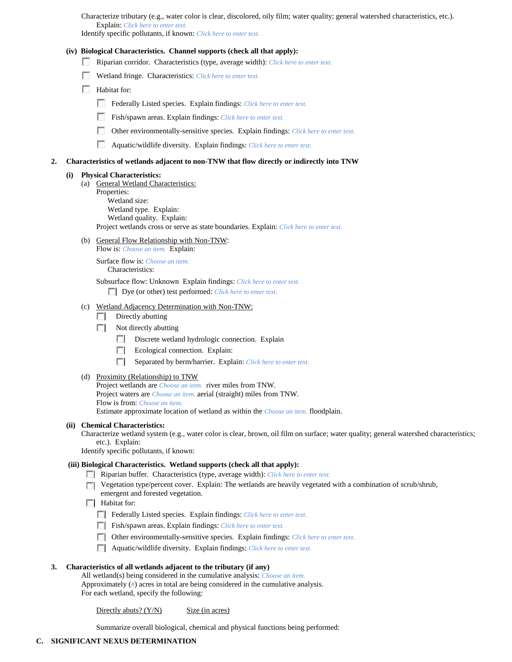Characterize tributary (e.g., water color is clear, discolored, oily film; water quality; general watershed characteristics, etc.). Explain: *Click here to enter text.*

Identify specific pollutants, if known: *Click here to enter text.*

# **(iv) Biological Characteristics. Channel supports (check all that apply):**

- Riparian corridor. Characteristics (type, average width): *Click here to enter text.*
- Wetland fringe. Characteristics: *Click here to enter text.*
- **Habitat for:** 
	- Federally Listed species. Explain findings: *Click here to enter text*.
	- Fish/spawn areas. Explain findings: *Click here to enter text.*
	- Other environmentally-sensitive species. Explain findings: *Click here to enter text.*
	- Aquatic/wildlife diversity. Explain findings: *Click here to enter text.*

# **2. Characteristics of wetlands adjacent to non-TNW that flow directly or indirectly into TNW**

# **(i) Physical Characteristics:**

- (a) General Wetland Characteristics:
	- Properties: Wetland size:

Wetland type. Explain: Wetland quality. Explain:

Project wetlands cross or serve as state boundaries. Explain: *Click here to enter text.*

(b) General Flow Relationship with Non-TNW: Flow is: *Choose an item.* Explain:

> Surface flow is: *Choose an item.* Characteristics:

Subsurface flow: Unknown Explain findings: *Click here to enter text.*

Dye (or other) test performed: *Click here to enter text.*

# (c) Wetland Adjacency Determination with Non-TNW:

- $\Box$  Directly abutting
- $\Box$  Not directly abutting
	- Discrete wetland hydrologic connection. Explain
	- Ecological connection. Explain:
	- Separated by berm/barrier. Explain: *Click here to enter text.*
- (d) Proximity (Relationship) to TNW

Project wetlands are *Choose an item.* river miles from TNW. Project waters are *Choose an item.* aerial (straight) miles from TNW. Flow is from: *Choose an item.*

Estimate approximate location of wetland as within the *Choose an item.* floodplain.

#### **(ii) Chemical Characteristics:**

Characterize wetland system (e.g., water color is clear, brown, oil film on surface; water quality; general watershed characteristics; etc.). Explain:

Identify specific pollutants, if known:

#### **(iii) Biological Characteristics. Wetland supports (check all that apply):**

- Riparian buffer. Characteristics (type, average width): *Click here to enter text.*
- **T** Vegetation type/percent cover. Explain: The wetlands are heavily vegetated with a combination of scrub/shrub, emergent and forested vegetation.
- $\Box$  Habitat for:
	- Federally Listed species. Explain findings: *Click here to enter text.*
	- Fish/spawn areas. Explain findings: *Click here to enter text*.
	- Other environmentally-sensitive species. Explain findings: *Click here to enter text.*
	- Aquatic/wildlife diversity. Explain findings: *Click here to enter text.*

# **3. Characteristics of all wetlands adjacent to the tributary (if any)**

All wetland(s) being considered in the cumulative analysis: *Choose an item.* Approximately (*#*) acres in total are being considered in the cumulative analysis. For each wetland, specify the following:

Directly abuts?  $(Y/N)$  Size (in acres)

Summarize overall biological, chemical and physical functions being performed: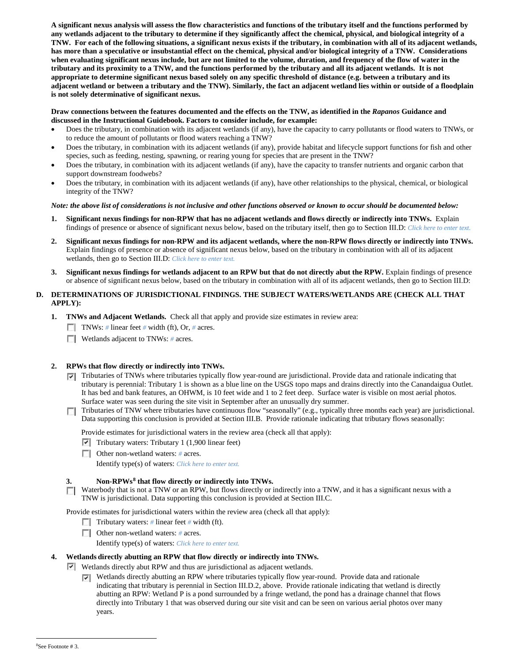**A significant nexus analysis will assess the flow characteristics and functions of the tributary itself and the functions performed by any wetlands adjacent to the tributary to determine if they significantly affect the chemical, physical, and biological integrity of a TNW. For each of the following situations, a significant nexus exists if the tributary, in combination with all of its adjacent wetlands, has more than a speculative or insubstantial effect on the chemical, physical and/or biological integrity of a TNW. Considerations when evaluating significant nexus include, but are not limited to the volume, duration, and frequency of the flow of water in the tributary and its proximity to a TNW, and the functions performed by the tributary and all its adjacent wetlands. It is not appropriate to determine significant nexus based solely on any specific threshold of distance (e.g. between a tributary and its adjacent wetland or between a tributary and the TNW). Similarly, the fact an adjacent wetland lies within or outside of a floodplain is not solely determinative of significant nexus.** 

#### **Draw connections between the features documented and the effects on the TNW, as identified in the** *Rapanos* **Guidance and discussed in the Instructional Guidebook. Factors to consider include, for example:**

- Does the tributary, in combination with its adjacent wetlands (if any), have the capacity to carry pollutants or flood waters to TNWs, or to reduce the amount of pollutants or flood waters reaching a TNW?
- Does the tributary, in combination with its adjacent wetlands (if any), provide habitat and lifecycle support functions for fish and other species, such as feeding, nesting, spawning, or rearing young for species that are present in the TNW?
- Does the tributary, in combination with its adjacent wetlands (if any), have the capacity to transfer nutrients and organic carbon that support downstream foodwebs?
- Does the tributary, in combination with its adjacent wetlands (if any), have other relationships to the physical, chemical, or biological integrity of the TNW?

# *Note: the above list of considerations is not inclusive and other functions observed or known to occur should be documented below:*

- **1. Significant nexus findings for non-RPW that has no adjacent wetlands and flows directly or indirectly into TNWs.** Explain findings of presence or absence of significant nexus below, based on the tributary itself, then go to Section III.D: *Click here to enter text.*
- **2. Significant nexus findings for non-RPW and its adjacent wetlands, where the non-RPW flows directly or indirectly into TNWs.**  Explain findings of presence or absence of significant nexus below, based on the tributary in combination with all of its adjacent wetlands, then go to Section III.D: *Click here to enter text.*
- **3. Significant nexus findings for wetlands adjacent to an RPW but that do not directly abut the RPW.** Explain findings of presence or absence of significant nexus below, based on the tributary in combination with all of its adjacent wetlands, then go to Section III.D:

# **D. DETERMINATIONS OF JURISDICTIONAL FINDINGS. THE SUBJECT WATERS/WETLANDS ARE (CHECK ALL THAT APPLY):**

- **1. TNWs and Adjacent Wetlands.** Check all that apply and provide size estimates in review area:
	- TNWs: *#* linear feet *#* width (ft), Or, *#* acres.
	- **Wetlands adjacent to TNWs: # acres.**

# **2. RPWs that flow directly or indirectly into TNWs.**

- Tributaries of TNWs where tributaries typically flow year-round are jurisdictional. Provide data and rationale indicating that tributary is perennial: Tributary 1 is shown as a blue line on the USGS topo maps and drains directly into the Canandaigua Outlet. It has bed and bank features, an OHWM, is 10 feet wide and 1 to 2 feet deep. Surface water is visible on most aerial photos. Surface water was seen during the site visit in September after an unusually dry summer.
- Tributaries of TNW where tributaries have continuous flow "seasonally" (e.g., typically three months each year) are jurisdictional. Data supporting this conclusion is provided at Section III.B. Provide rationale indicating that tributary flows seasonally:

Provide estimates for jurisdictional waters in the review area (check all that apply):

- $\triangledown$  Tributary waters: Tributary 1 (1,900 linear feet)
- Other non-wetland waters: *#* acres. Identify type(s) of waters: *Click here to enter text.*

# **3. Non-RPWs[8](#page-4-0) that flow directly or indirectly into TNWs.**

Waterbody that is not a TNW or an RPW, but flows directly or indirectly into a TNW, and it has a significant nexus with a TNW is jurisdictional. Data supporting this conclusion is provided at Section III.C.

Provide estimates for jurisdictional waters within the review area (check all that apply):

- **Tributary waters:** # linear feet # width (ft).
- Other non-wetland waters: *#* acres.

Identify type(s) of waters: *Click here to enter text.*

# **4. Wetlands directly abutting an RPW that flow directly or indirectly into TNWs.**

Wetlands directly abut RPW and thus are jurisdictional as adjacent wetlands.

 $\nabla$  Wetlands directly abutting an RPW where tributaries typically flow year-round. Provide data and rationale indicating that tributary is perennial in Section III.D.2, above. Provide rationale indicating that wetland is directly abutting an RPW: Wetland P is a pond surrounded by a fringe wetland, the pond has a drainage channel that flows directly into Tributary 1 that was observed during our site visit and can be seen on various aerial photos over many years.

<span id="page-4-0"></span> $\frac{1}{8}$ See Footnote # 3.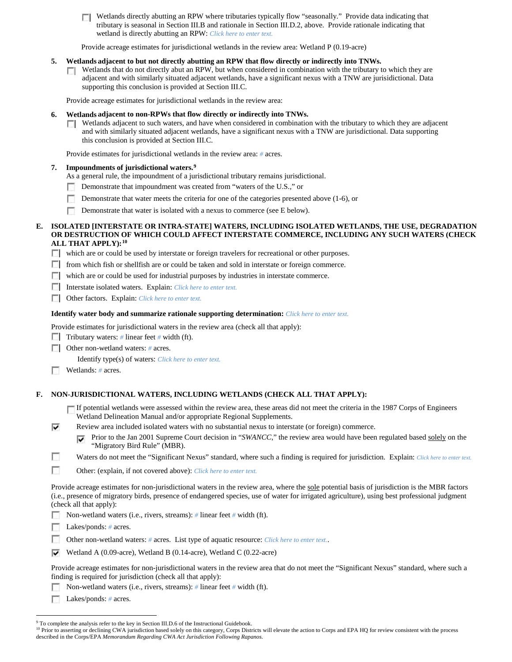Wetlands directly abutting an RPW where tributaries typically flow "seasonally." Provide data indicating that **TT** tributary is seasonal in Section III.B and rationale in Section III.D.2, above. Provide rationale indicating that wetland is directly abutting an RPW: *Click here to enter text.*

Provide acreage estimates for jurisdictional wetlands in the review area: Wetland P (0.19-acre)

#### **5. Wetlands adjacent to but not directly abutting an RPW that flow directly or indirectly into TNWs.**

Wetlands that do not directly abut an RPW, but when considered in combination with the tributary to which they are  $\mathcal{L}$ adjacent and with similarly situated adjacent wetlands, have a significant nexus with a TNW are jurisidictional. Data supporting this conclusion is provided at Section III.C.

Provide acreage estimates for jurisdictional wetlands in the review area:

#### **6. Wetlands adjacent to non-RPWs that flow directly or indirectly into TNWs.**

Wetlands adjacent to such waters, and have when considered in combination with the tributary to which they are adjacent and with similarly situated adjacent wetlands, have a significant nexus with a TNW are jurisdictional. Data supporting this conclusion is provided at Section III.C.

Provide estimates for jurisdictional wetlands in the review area: *#* acres.

#### **7. Impoundments of jurisdictional waters. [9](#page-5-0)**

- As a general rule, the impoundment of a jurisdictional tributary remains jurisdictional.
- Demonstrate that impoundment was created from "waters of the U.S.," or
- Demonstrate that water meets the criteria for one of the categories presented above (1-6), or
- Demonstrate that water is isolated with a nexus to commerce (see E below). п

#### **E. ISOLATED [INTERSTATE OR INTRA-STATE] WATERS, INCLUDING ISOLATED WETLANDS, THE USE, DEGRADATION OR DESTRUCTION OF WHICH COULD AFFECT INTERSTATE COMMERCE, INCLUDING ANY SUCH WATERS (CHECK ALL THAT APPLY):[10](#page-5-1)**

which are or could be used by interstate or foreign travelers for recreational or other purposes.

- $\Box$  from which fish or shellfish are or could be taken and sold in interstate or foreign commerce.
- which are or could be used for industrial purposes by industries in interstate commerce.
- Interstate isolated waters.Explain: *Click here to enter text.*
- Other factors.Explain: *Click here to enter text.*

#### **Identify water body and summarize rationale supporting determination:** *Click here to enter text.*

Provide estimates for jurisdictional waters in the review area (check all that apply):

- Tributary waters: # linear feet # width (ft).
- Other non-wetland waters: *#* acres.

Identify type(s) of waters: *Click here to enter text.*

Wetlands: # acres.

#### **F. NON-JURISDICTIONAL WATERS, INCLUDING WETLANDS (CHECK ALL THAT APPLY):**

- If potential wetlands were assessed within the review area, these areas did not meet the criteria in the 1987 Corps of Engineers Wetland Delineation Manual and/or appropriate Regional Supplements.
- ⊽ Review area included isolated waters with no substantial nexus to interstate (or foreign) commerce.
	- Prior to the Jan 2001 Supreme Court decision in "*SWANCC*," the review area would have been regulated based solely on the ⊽ "Migratory Bird Rule" (MBR).
- г Waters do not meet the "Significant Nexus" standard, where such a finding is required for jurisdiction. Explain: *Click here to enter text.*
- г Other: (explain, if not covered above): *Click here to enter text.*

Provide acreage estimates for non-jurisdictional waters in the review area, where the sole potential basis of jurisdiction is the MBR factors (i.e., presence of migratory birds, presence of endangered species, use of water for irrigated agriculture), using best professional judgment (check all that apply):

Г Non-wetland waters (i.e., rivers, streams): *#* linear feet *#* width (ft).

Lakes/ponds: # acres.

- $\sim$ Other non-wetland waters: *#* acres. List type of aquatic resource: *Click here to enter text.*.
- Wetland A (0.09-acre), Wetland B (0.14-acre), Wetland C (0.22-acre)

Provide acreage estimates for non-jurisdictional waters in the review area that do not meet the "Significant Nexus" standard, where such a finding is required for jurisdiction (check all that apply):

Non-wetland waters (i.e., rivers, streams): *#* linear feet *#* width (ft). n.

Lakes/ponds: *#* acres.

<sup>&</sup>lt;sup>9</sup> To complete the analysis refer to the key in Section III.D.6 of the Instructional Guidebook.

<span id="page-5-1"></span><span id="page-5-0"></span><sup>&</sup>lt;sup>10</sup> Prior to asserting or declining CWA jurisdiction based solely on this category, Corps Districts will elevate the action to Corps and EPA HQ for review consistent with the process described in the Corps/EPA *Memorandum Regarding CWA Act Jurisdiction Following Rapanos.*